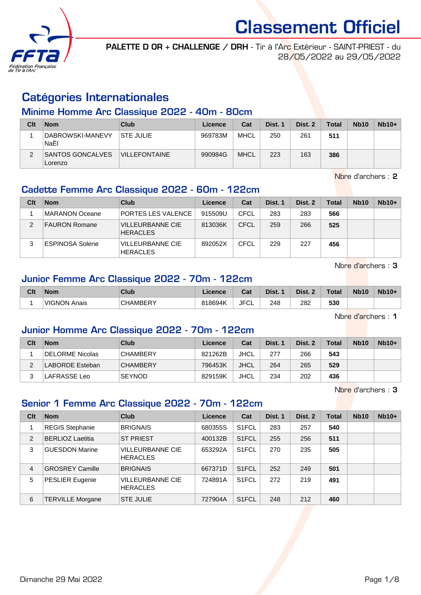

PALETTE D OR + CHALLENGE / DRH - Tir à l'Arc Extérieur - SAINT-PRIEST - du 28/05/2022 au 29/05/2022

# Catégories Internationales

#### Minime Homme Arc Classique 2022 - 40m - 80cm

| Clt | <b>Nom</b>                         | Club                 | Licence | Cat         | Dist. 1 | Dist. 2 | <b>Total</b> | <b>Nb10</b> | $Nb10+$ |
|-----|------------------------------------|----------------------|---------|-------------|---------|---------|--------------|-------------|---------|
|     | DABROWSKI-MANEVY<br>NaËI           | <b>STE JULIE</b>     | 969783M | MHCL        | 250     | 261     | 511          |             |         |
|     | <b>SANTOS GONCALVES</b><br>Lorenzo | <b>VILLEFONTAINE</b> | 990984G | <b>MHCL</b> | 223     | 163     | 386          |             |         |

Nbre d'archers : 2

### Cadette Femme Arc Classique 2022 - 60m - 122cm

| Clt           | <b>Nom</b>             | Club                                       | Licence | Cat  | Dist. 1 | Dist. 2 | Total | <b>Nb10</b> | $Nb10+$ |
|---------------|------------------------|--------------------------------------------|---------|------|---------|---------|-------|-------------|---------|
|               | MARANON Oceane         | PORTES LES VALENCE                         | 915509U | CFCL | 283     | 283     | 566   |             |         |
| $\mathcal{P}$ | <b>FAURON Romane</b>   | <b>VILLEURBANNE CIE</b><br><b>HERACLES</b> | 813036K | CFCL | 259     | 266     | 525   |             |         |
| 3             | <b>ESPINOSA Solene</b> | <b>VILLEURBANNE CIE</b><br><b>HERACLES</b> | 892052X | CFCL | 229     | 227     | 456   |             |         |

Nbre d'archers : 3

# Junior Femme Arc Classique 2022 - 70m - 122cm

| Clt | <b>Nom</b>   | <b>Club</b>   | Licence | <b>Table</b><br>⊍⊌ | Dist. | Dist. 2<br>$\sim$ | Total | <b>Nb10</b> | <b>Nb10+</b> |
|-----|--------------|---------------|---------|--------------------|-------|-------------------|-------|-------------|--------------|
|     | VIGNON Anais | CHAMBERY<br>ັ | 818694K | JFC'<br>◡∟         | 248   | 282               | 530   |             |              |

Nbre d'archers : 1

### Junior Homme Arc Classique 2022 - 70m - 122cm

| Clt | <b>Nom</b>      | Club            | Licence | Cat         | Dist. 1 | Dist. 2 | Total | <b>Nb10</b> | $Nb10+$ |
|-----|-----------------|-----------------|---------|-------------|---------|---------|-------|-------------|---------|
|     | DELORME Nicolas | <b>CHAMBERY</b> | 821262B | <b>JHCL</b> | 277     | 266     | 543   |             |         |
|     | LABORDE Esteban | <b>CHAMBERY</b> | 796453K | <b>JHCL</b> | 264     | 265     | 529   |             |         |
| ົ   | LAFRASSE Leo    | <b>SEYNOD</b>   | 829159K | JHCL        | 234     | 202     | 436   |             |         |

Nbre d'archers : 3

### Senior 1 Femme Arc Classique 2022 - 70m - 122cm

| Clt            | <b>Nom</b>              | Club                                       | Licence | Cat                | Dist. 1 | Dist. 2 | <b>Total</b> | <b>Nb10</b> | $Nb10+$ |
|----------------|-------------------------|--------------------------------------------|---------|--------------------|---------|---------|--------------|-------------|---------|
|                | <b>REGIS Stephanie</b>  | <b>BRIGNAIS</b>                            | 680355S | S1FCL              | 283     | 257     | 540          |             |         |
| 2              | <b>BERLIOZ Laetitia</b> | <b>ST PRIEST</b>                           | 400132B | S <sub>1</sub> FCL | 255     | 256     | 511          |             |         |
| 3              | <b>GUESDON Marine</b>   | <b>VILLEURBANNE CIE</b><br><b>HERACLES</b> | 653292A | S <sub>1</sub> FCL | 270     | 235     | 505          |             |         |
| $\overline{4}$ | <b>GROSREY Camille</b>  | <b>BRIGNAIS</b>                            | 667371D | S <sub>1</sub> FCL | 252     | 249     | 501          |             |         |
| 5              | PESLIER Eugenie         | <b>VILLEURBANNE CIE</b><br><b>HERACLES</b> | 724891A | S <sub>1</sub> FCL | 272     | 219     | 491          |             |         |
| 6              | <b>TERVILLE Morgane</b> | <b>STE JULIE</b>                           | 727904A | S <sub>1</sub> FCL | 248     | 212     | 460          |             |         |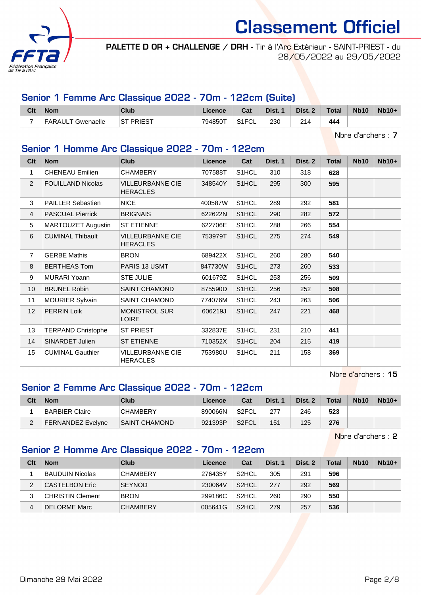

PALETTE D OR + CHALLENGE / DRH - Tir à l'Arc Extérieur - SAINT-PRIEST - du 28/05/2022 au 29/05/2022

## Senior 1 Femme Arc Classique 2022 - 70m - 122cm (Suite)

| Clt | <b>Nom</b>        | Club              | Licence | Cat                | Dist. 1 | Dist. 2 | <b>Total</b> | <b>Nb10</b> | $Nb10+$ |
|-----|-------------------|-------------------|---------|--------------------|---------|---------|--------------|-------------|---------|
| -   | FARAULT Gwenaelle | <b>IST PRIEST</b> | 794850T | S <sub>1</sub> FCL | 230     | 214     | 444          |             |         |

Nbre d'archers : 7

### Senior 1 Homme Arc Classique 2022 - 70m - 122cm

| Cl <sub>t</sub> | <b>Nom</b>                | <b>Club</b>                                | <b>Licence</b> | Cat   | Dist. 1 | Dist. 2 | <b>Total</b> | <b>Nb10</b> | Nb10+ |
|-----------------|---------------------------|--------------------------------------------|----------------|-------|---------|---------|--------------|-------------|-------|
| 1               | <b>CHENEAU Emilien</b>    | <b>CHAMBERY</b>                            | 707588T        | S1HCL | 310     | 318     | 628          |             |       |
| 2               | <b>FOUILLAND Nicolas</b>  | <b>VILLEURBANNE CIE</b><br><b>HERACLES</b> | 348540Y        | S1HCL | 295     | 300     | 595          |             |       |
| 3               | <b>PAILLER Sebastien</b>  | <b>NICE</b>                                | 400587W        | S1HCL | 289     | 292     | 581          |             |       |
| $\overline{4}$  | <b>PASCUAL Pierrick</b>   | <b>BRIGNAIS</b>                            | 622622N        | S1HCL | 290     | 282     | 572          |             |       |
| 5               | MARTOUZET Augustin        | <b>ST ETIENNE</b>                          | 622706E        | S1HCL | 288     | 266     | 554          |             |       |
| 6               | <b>CUMINAL Thibault</b>   | <b>VILLEURBANNE CIE</b><br><b>HERACLES</b> | 753979T        | S1HCL | 275     | 274     | 549          |             |       |
| $\overline{7}$  | <b>GERBE Mathis</b>       | <b>BRON</b>                                | 689422X        | S1HCL | 260     | 280     | 540          |             |       |
| 8               | <b>BERTHEAS Tom</b>       | PARIS 13 USMT                              | 847730W        | S1HCL | 273     | 260     | 533          |             |       |
| 9               | <b>MURARI Yoann</b>       | <b>STE JULIE</b>                           | 601679Z        | S1HCL | 253     | 256     | 509          |             |       |
| 10              | <b>BRUNEL Robin</b>       | <b>SAINT CHAMOND</b>                       | 875590D        | S1HCL | 256     | 252     | 508          |             |       |
| 11              | <b>MOURIER Sylvain</b>    | SAINT CHAMOND                              | 774076M        | S1HCL | 243     | 263     | 506          |             |       |
| 12              | <b>PERRIN Loik</b>        | <b>MONISTROL SUR</b><br><b>LOIRE</b>       | 606219J        | S1HCL | 247     | 221     | 468          |             |       |
| 13              | <b>TERPAND Christophe</b> | <b>ST PRIEST</b>                           | 332837E        | S1HCL | 231     | 210     | 441          |             |       |
| 14              | SINARDET Julien           | <b>ST ETIENNE</b>                          | 710352X        | S1HCL | 204     | 215     | 419          |             |       |
| 15              | <b>CUMINAL Gauthier</b>   | <b>VILLEURBANNE CIE</b><br><b>HERACLES</b> | 753980U        | S1HCL | 211     | 158     | 369          |             |       |

Nbre d'archers : 15

### Senior 2 Femme Arc Classique 2022 - 70m - 122cm

| Clt | <b>Nom</b>        | Club                 | Licence | Cat   | Dist. 1 | Dist. 2 | <b>Total</b> | <b>Nb10</b> | $Nb10+$ |
|-----|-------------------|----------------------|---------|-------|---------|---------|--------------|-------------|---------|
|     | BARBIER Claire    | <b>CHAMBERY</b>      | 890066N | S2FCL | 277     | 246     | 523          |             |         |
| ົ   | FERNANDEZ Evelyne | <b>SAINT CHAMOND</b> | 921393P | S2FCL | 151     | 125     | 276          |             |         |

Nbre d'archers : 2

#### Senior 2 Homme Arc Classique 2022 - 70m - 122cm

| Clt | <b>Nom</b>              | Club            | Licence | Cat                | Dist. 1 | Dist. 2 | Total | <b>Nb10</b> | $Nb10+$ |
|-----|-------------------------|-----------------|---------|--------------------|---------|---------|-------|-------------|---------|
|     | BAUDUIN Nicolas         | <b>CHAMBERY</b> | 276435Y | S <sub>2</sub> HCL | 305     | 291     | 596   |             |         |
| 2   | <b>CASTELBON Eric</b>   | <b>SEYNOD</b>   | 230064V | S <sub>2</sub> HCL | 277     | 292     | 569   |             |         |
| 3   | <b>CHRISTIN Clement</b> | <b>BRON</b>     | 299186C | S <sub>2</sub> HCL | 260     | 290     | 550   |             |         |
| 4   | <b>DELORME Marc</b>     | <b>CHAMBERY</b> | 005641G | S <sub>2</sub> HCL | 279     | 257     | 536   |             |         |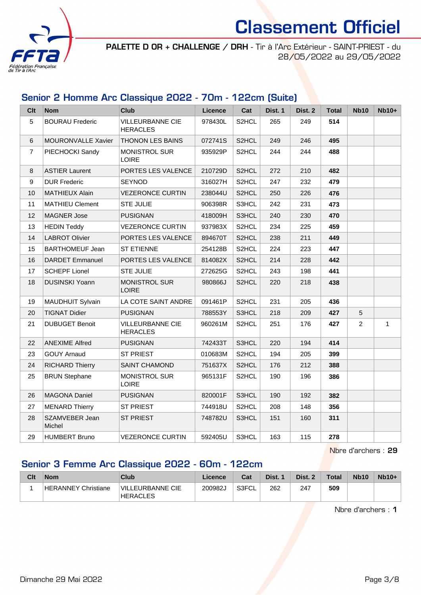

PALETTE D OR + CHALLENGE / DRH - Tir à l'Arc Extérieur - SAINT-PRIEST - du 28/05/2022 au 29/05/2022

### Senior 2 Homme Arc Classique 2022 - 70m - 122cm (Suite)

| <b>Clt</b>     | <b>Nom</b>               | Club                                       | Licence | Cat                | Dist. 1 | Dist. 2 | <b>Total</b> | <b>Nb10</b>    | <b>Nb10+</b> |
|----------------|--------------------------|--------------------------------------------|---------|--------------------|---------|---------|--------------|----------------|--------------|
| 5              | <b>BOURAU Frederic</b>   | <b>VILLEURBANNE CIE</b><br><b>HERACLES</b> | 978430L | S2HCL              | 265     | 249     | 514          |                |              |
| 6              | MOURONVALLE Xavier       | THONON LES BAINS                           | 072741S | S2HCL              | 249     | 246     | 495          |                |              |
| $\overline{7}$ | PIECHOCKI Sandy          | <b>MONISTROL SUR</b><br><b>LOIRE</b>       | 935929P | S <sub>2</sub> HCL | 244     | 244     | 488          |                |              |
| 8              | <b>ASTIER Laurent</b>    | PORTES LES VALENCE                         | 210729D | S2HCL              | 272     | 210     | 482          |                |              |
| 9              | <b>DUR Frederic</b>      | <b>SEYNOD</b>                              | 316027H | S2HCL              | 247     | 232     | 479          |                |              |
| 10             | MATHIEUX Alain           | <b>VEZERONCE CURTIN</b>                    | 238044U | S2HCL              | 250     | 226     | 476          |                |              |
| 11             | <b>MATHIEU Clement</b>   | <b>STE JULIE</b>                           | 906398R | S3HCL              | 242     | 231     | 473          |                |              |
| 12             | <b>MAGNER Jose</b>       | <b>PUSIGNAN</b>                            | 418009H | S3HCL              | 240     | 230     | 470          |                |              |
| 13             | <b>HEDIN Teddy</b>       | <b>VEZERONCE CURTIN</b>                    | 937983X | S <sub>2</sub> HCL | 234     | 225     | 459          |                |              |
| 14             | <b>LABROT Olivier</b>    | PORTES LES VALENCE                         | 894670T | S <sub>2</sub> HCL | 238     | 211     | 449          |                |              |
| 15             | <b>BARTHOMEUF Jean</b>   | <b>ST ETIENNE</b>                          | 254128B | S <sub>2</sub> HCL | 224     | 223     | 447          |                |              |
| 16             | DARDET Emmanuel          | PORTES LES VALENCE                         | 814082X | S <sub>2</sub> HCL | 214     | 228     | 442          |                |              |
| 17             | <b>SCHEPF Lionel</b>     | <b>STE JULIE</b>                           | 272625G | S2HCL              | 243     | 198     | 441          |                |              |
| 18             | <b>DUSINSKI Yoann</b>    | <b>MONISTROL SUR</b><br><b>LOIRE</b>       | 980866J | S <sub>2</sub> HCL | 220     | 218     | 438          |                |              |
| 19             | <b>MAUDHUIT Sylvain</b>  | LA COTE SAINT ANDRE                        | 091461P | S2HCL              | 231     | 205     | 436          |                |              |
| 20             | <b>TIGNAT Didier</b>     | <b>PUSIGNAN</b>                            | 788553Y | S3HCL              | 218     | 209     | 427          | 5              |              |
| 21             | <b>DUBUGET Benoit</b>    | <b>VILLEURBANNE CIE</b><br><b>HERACLES</b> | 960261M | S2HCL              | 251     | 176     | 427          | $\overline{2}$ | 1            |
| 22             | <b>ANEXIME Alfred</b>    | <b>PUSIGNAN</b>                            | 742433T | S3HCL              | 220     | 194     | 414          |                |              |
| 23             | <b>GOUY Arnaud</b>       | <b>ST PRIEST</b>                           | 010683M | S2HCL              | 194     | 205     | 399          |                |              |
| 24             | <b>RICHARD Thierry</b>   | <b>SAINT CHAMOND</b>                       | 751637X | S2HCL              | 176     | 212     | 388          |                |              |
| 25             | <b>BRUN Stephane</b>     | <b>MONISTROL SUR</b><br><b>LOIRE</b>       | 965131F | S <sub>2</sub> HCL | 190     | 196     | 386          |                |              |
| 26             | <b>MAGONA Daniel</b>     | <b>PUSIGNAN</b>                            | 820001F | S3HCL              | 190     | 192     | 382          |                |              |
| 27             | <b>MENARD Thierry</b>    | <b>ST PRIEST</b>                           | 744918U | S2HCL              | 208     | 148     | 356          |                |              |
| 28             | SZAMVEBER Jean<br>Michel | <b>ST PRIEST</b>                           | 748782U | S3HCL              | 151     | 160     | 311          |                |              |
| 29             | <b>HUMBERT Bruno</b>     | <b>VEZERONCE CURTIN</b>                    | 592405U | S3HCL              | 163     | 115     | 278          |                |              |

Nbre d'archers : 29

# Senior 3 Femme Arc Classique 2022 - 60m - 122cm

| Clt | <b>Nom</b>          | Club                                | Licence | Cat   | Dist. 1 | Dist. 2 | <b>Total</b> | <b>Nb10</b> | $Nb10+$ |
|-----|---------------------|-------------------------------------|---------|-------|---------|---------|--------------|-------------|---------|
|     | HERANNEY Christiane | VILLEURBANNE CIE<br><b>HERACLES</b> | 200982J | S3FCL | 262     | 247     | 509          |             |         |

Nbre d'archers : 1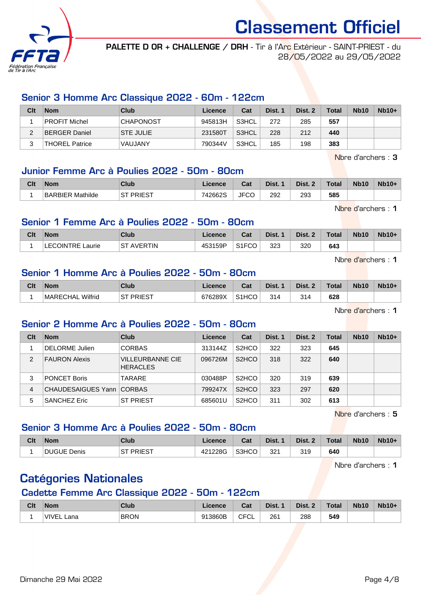

PALETTE D OR + CHALLENGE / DRH - Tir à l'Arc Extérieur - SAINT-PRIEST - du 28/05/2022 au 29/05/2022

#### Senior 3 Homme Arc Classique 2022 - 60m - 122cm

| Clt | <b>Nom</b>            | Club             | Licence | Cat   | Dist. 1 | Dist. 2 | Total | <b>Nb10</b> | $Nb10+$ |
|-----|-----------------------|------------------|---------|-------|---------|---------|-------|-------------|---------|
|     | <b>PROFIT Michel</b>  | <b>CHAPONOST</b> | 945813H | S3HCL | 272     | 285     | 557   |             |         |
| ∼   | BERGER Daniel         | <b>STE JULIE</b> | 231580T | S3HCL | 228     | 212     | 440   |             |         |
|     | <b>THOREL Patrice</b> | VAUJANY          | 790344V | S3HCL | 185     | 198     | 383   |             |         |

Nbre d'archers : 3

#### Junior Femme Arc à Poulies 2022 - 50m - 80cm

| Clt | <b>Nom</b>              | Club                           | <b>Licence</b> | ่ ี่<br>⊍d  | Dist. | Dist. | Total | <b>Nb10</b> | <b>Nb10+</b> |
|-----|-------------------------|--------------------------------|----------------|-------------|-------|-------|-------|-------------|--------------|
|     | <b>BARBIER Mathilde</b> | <b>PRIEST</b><br>$\sim$ $\tau$ | 742662S        | <b>JFCC</b> | 292   | 293   | 585   |             |              |

Nbre d'archers : 1

#### Senior 1 Femme Arc à Poulies 2022 - 50m - 80cm

| Clt | <b>Nom</b>                   | Club            | Licence | Cat                | Dist. | Dist. 2 | Total | <b>Nb10</b> | $Nb10+$ |
|-----|------------------------------|-----------------|---------|--------------------|-------|---------|-------|-------------|---------|
|     | <b>LECOINTRE L</b><br>Laurie | AVERTIN<br>⊦ST. | 453159P | S <sub>1</sub> FCO | 323   | 320     | 643   |             |         |

Nbre d'archers : 1

## Senior 1 Homme Arc à Poulies 2022 - 50m - 80cm

| Clt | <b>Nom</b>                 | Club           | Licence | <b>Dol</b><br>⊍م   | Dist. | Dist. | Total | <b>Nb10</b> | <b>Nb10+</b> |
|-----|----------------------------|----------------|---------|--------------------|-------|-------|-------|-------------|--------------|
|     | Wilfrid<br><b>MARECHAL</b> | PRIEST<br>. OT | 676289X | S <sub>1</sub> HCO | 314   | 314   | 628   |             |              |

Nbre d'archers : 1

#### Senior 2 Homme Arc à Poulies 2022 - 50m - 80cm

| Clt            | <b>Nom</b>                  | Club                                       | Licence | Cat                             | Dist. 1 | Dist. 2 | <b>Total</b> | <b>Nb10</b> | $Nb10+$ |
|----------------|-----------------------------|--------------------------------------------|---------|---------------------------------|---------|---------|--------------|-------------|---------|
|                | <b>DELORME</b> Julien       | <b>CORBAS</b>                              | 313144Z | S <sub>2</sub> HCO              | 322     | 323     | 645          |             |         |
| $\mathfrak{p}$ | <b>FAURON Alexis</b>        | <b>VILLEURBANNE CIE</b><br><b>HERACLES</b> | 096726M | S <sub>2</sub> HCO              | 318     | 322     | 640          |             |         |
| 3              | <b>PONCET Boris</b>         | TARARE                                     | 030488P | S <sub>2</sub> H <sub>CO</sub>  | 320     | 319     | 639          |             |         |
| 4              | CHAUDESAIGUES Yann   CORBAS |                                            | 799247X | S <sub>2</sub> H <sub>C</sub> O | 323     | 297     | 620          |             |         |
| 5              | <b>SANCHEZ Eric</b>         | <b>ST PRIEST</b>                           | 685601U | S <sub>2</sub> H <sub>C</sub> O | 311     | 302     | 613          |             |         |

Nbre d'archers : 5

## Senior 3 Homme Arc à Poulies 2022 - 50m - 80cm

| Clt | <b>Nom</b>         | <b>Club</b>         | ∟icence | $R_{\rm{eff}}$<br>⊍aι | Dist. | Dist. 2 | <b>Total</b> | <b>Nb10</b> | <b>Nb10+</b> |
|-----|--------------------|---------------------|---------|-----------------------|-------|---------|--------------|-------------|--------------|
|     | <b>DUGUE Denis</b> | PRIEST<br><b>ST</b> | 421228G | S3HCO                 | 321   | 319     | 640          |             |              |

Nbre d'archers : 1

# Catégories Nationales

### Cadette Femme Arc Classique 2022 - 50m - 122cm

| Clt | <b>Nom</b>           | Club        | icence  | Cat                       | Dist.      | Dist.      | <b>Total</b> | <b>Nb10</b> | <b>Nb10+</b> |
|-----|----------------------|-------------|---------|---------------------------|------------|------------|--------------|-------------|--------------|
|     | <b>VIVEI</b><br>.ana | <b>BRON</b> | 913860B | $\sim$ $\sim$<br>ັບ∟<br>◡ | 261<br>___ | 288<br>- - | 549          |             |              |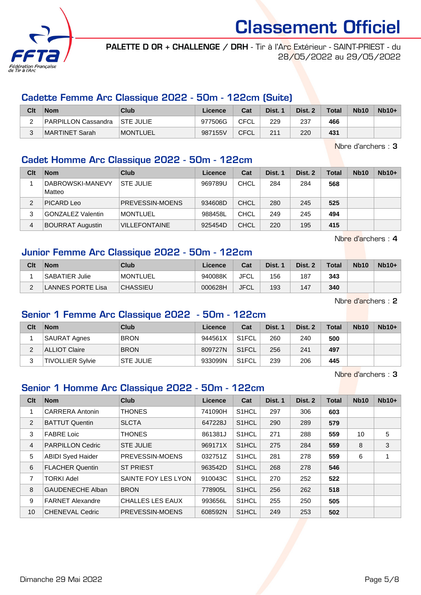

PALETTE D OR + CHALLENGE / DRH - Tir à l'Arc Extérieur - SAINT-PRIEST - du 28/05/2022 au 29/05/2022

#### Cadette Femme Arc Classique 2022 - 50m - 122cm (Suite)

| Clt | <b>Nom</b>          | Club             | Licence | Cat         | Dist. 1 | Dist. 2 | Total | <b>Nb10</b> | $Nb10+$ |
|-----|---------------------|------------------|---------|-------------|---------|---------|-------|-------------|---------|
|     | PARPILLON Cassandra | <b>STE JULIE</b> | 977506G | <b>CFCL</b> | 229     | 237     | 466   |             |         |
|     | MARTINET Sarah      | <b>MONTLUEL</b>  | 987155V | <b>CFCL</b> | 211     | 220     | 431   |             |         |

Nbre d'archers : 3

#### Cadet Homme Arc Classique 2022 - 50m - 122cm

| Clt | <b>Nom</b>                 | Club                 | Licence | Cat         | Dist. 1 | Dist. 2 | Total | <b>Nb10</b> | $Nb10+$ |
|-----|----------------------------|----------------------|---------|-------------|---------|---------|-------|-------------|---------|
|     | DABROWSKI-MANEVY<br>Matteo | <b>STE JULIE</b>     | 969789U | <b>CHCL</b> | 284     | 284     | 568   |             |         |
|     | PICARD Leo                 | PREVESSIN-MOENS      | 934608D | <b>CHCL</b> | 280     | 245     | 525   |             |         |
| 3   | <b>GONZALEZ Valentin</b>   | <b>MONTLUEL</b>      | 988458L | CHCL        | 249     | 245     | 494   |             |         |
| 4   | <b>BOURRAT Augustin</b>    | <b>VILLEFONTAINE</b> | 925454D | <b>CHCL</b> | 220     | 195     | 415   |             |         |

Nbre d'archers : 4

### Junior Femme Arc Classique 2022 - 50m - 122cm

| Clt | <b>Nom</b>        | Club            | Licence | Cat         | Dist. | Dist. 2 | <b>Total</b> | <b>Nb10</b> | $Nb10+$ |
|-----|-------------------|-----------------|---------|-------------|-------|---------|--------------|-------------|---------|
|     | SABATIER Julie    | <b>MONTLUEL</b> | 940088K | <b>JFCL</b> | 156   | 187     | 343          |             |         |
| C   | LANNES PORTE Lisa | <b>CHASSIEU</b> | 000628H | <b>JFCL</b> | 193   | 147     | 340          |             |         |

Nbre d'archers : 2

### Senior 1 Femme Arc Classique 2022 - 50m - 122cm

| Clt | <b>Nom</b>              | Club             | Licence | Cat                | Dist. 1 | Dist. 2 | <b>Total</b> | <b>Nb10</b> | $Nb10+$ |
|-----|-------------------------|------------------|---------|--------------------|---------|---------|--------------|-------------|---------|
|     | <b>SAURAT Agnes</b>     | <b>BRON</b>      | 944561X | S <sub>1</sub> FCL | 260     | 240     | 500          |             |         |
|     | ALLIOT Claire           | <b>BRON</b>      | 809727N | S <sub>1</sub> FCL | 256     | 241     | 497          |             |         |
| 3   | <b>TIVOLLIER Sylvie</b> | <b>STE JULIE</b> | 933099N | S <sub>1</sub> FCL | 239     | 206     | 445          |             |         |

Nbre d'archers : 3

### Senior 1 Homme Arc Classique 2022 - 50m - 122cm

| Clt | <b>Nom</b>               | <b>Club</b>             | Licence | Cat                | Dist. 1 | Dist. 2 | <b>Total</b> | <b>Nb10</b> | $Nb10+$ |
|-----|--------------------------|-------------------------|---------|--------------------|---------|---------|--------------|-------------|---------|
| 1   | <b>CARRERA Antonin</b>   | <b>THONES</b>           | 741090H | S1HCL              | 297     | 306     | 603          |             |         |
| 2   | <b>BATTUT Quentin</b>    | <b>SLCTA</b>            | 647228J | S1HCL              | 290     | 289     | 579          |             |         |
| 3   | <b>FABRE Loic</b>        | <b>THONES</b>           | 861381J | S1HCL              | 271     | 288     | 559          | 10          | 5       |
| 4   | <b>PARPILLON Cedric</b>  | <b>STE JULIE</b>        | 969171X | S <sub>1</sub> HCL | 275     | 284     | 559          | 8           | 3       |
| 5   | <b>ABIDI Syed Haider</b> | PREVESSIN-MOENS         | 032751Z | S1HCL              | 281     | 278     | 559          | 6           | 1       |
| 6   | <b>FLACHER Quentin</b>   | <b>ST PRIEST</b>        | 963542D | S1HCL              | 268     | 278     | 546          |             |         |
| 7   | <b>TORKI Adel</b>        | SAINTE FOY LES LYON     | 910043C | S1HCL              | 270     | 252     | 522          |             |         |
| 8   | <b>GAUDENECHE Alban</b>  | <b>BRON</b>             | 778905L | S <sub>1</sub> HCL | 256     | 262     | 518          |             |         |
| 9   | <b>FARNET Alexandre</b>  | <b>CHALLES LES EAUX</b> | 993656L | S <sub>1</sub> HCL | 255     | 250     | 505          |             |         |
| 10  | <b>CHENEVAL Cedric</b>   | PREVESSIN-MOENS         | 608592N | S1HCL              | 249     | 253     | 502          |             |         |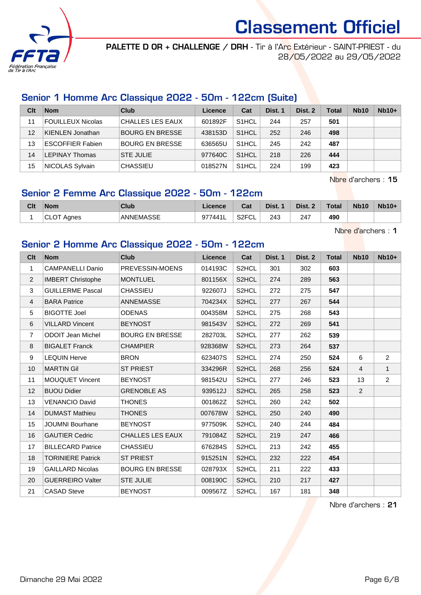

PALETTE D OR + CHALLENGE / DRH - Tir à l'Arc Extérieur - SAINT-PRIEST - du 28/05/2022 au 29/05/2022

### Senior 1 Homme Arc Classique 2022 - 50m - 122cm (Suite)

| Clt | <b>Nom</b>               | Club                    | Licence | Cat                | Dist. 1 | Dist. 2 | <b>Total</b> | <b>Nb10</b> | $Nb10+$ |
|-----|--------------------------|-------------------------|---------|--------------------|---------|---------|--------------|-------------|---------|
| 11  | <b>FOUILLEUX Nicolas</b> | <b>CHALLES LES EAUX</b> | 601892F | S <sub>1</sub> HCL | 244     | 257     | 501          |             |         |
| 12  | KIENLEN Jonathan         | <b>BOURG EN BRESSE</b>  | 438153D | S <sub>1</sub> HCL | 252     | 246     | 498          |             |         |
| 13  | <b>ESCOFFIER Fabien</b>  | <b>BOURG EN BRESSE</b>  | 636565U | S <sub>1</sub> HCL | 245     | 242     | 487          |             |         |
| 14  | <b>LEPINAY Thomas</b>    | <b>STE JULIE</b>        | 977640C | S <sub>1</sub> HCL | 218     | 226     | 444          |             |         |
| 15  | NICOLAS Sylvain          | <b>CHASSIEU</b>         | 018527N | S <sub>1</sub> HCL | 224     | 199     | 423          |             |         |

Nbre d'archers : 15

# Senior 2 Femme Arc Classique 2022 - 50m - 122cm

| Clt | <b>Nom</b>             | Club      | <b>Licence</b> | ◠孪<br>⊍d                 | Dist. | Dist. | <b>Total</b> | <b>Nb10</b> | $Nb10+$ |
|-----|------------------------|-----------|----------------|--------------------------|-------|-------|--------------|-------------|---------|
|     | $\sim$<br>Aanes<br>◡∟◡ | ANNEMASSE | 9774411<br>᠂╹┗ | S <sub>2</sub> FCL<br>◡∟ | 243   | 247   | 490          |             |         |

Nbre d'archers : 1

## Senior 2 Homme Arc Classique 2022 - 50m - 122cm

| Cl <sub>t</sub> | <b>Nom</b>               | <b>Club</b>             | Licence | Cat                | Dist. 1 | Dist. 2 | <b>Total</b> | <b>Nb10</b>    | <b>Nb10+</b>   |
|-----------------|--------------------------|-------------------------|---------|--------------------|---------|---------|--------------|----------------|----------------|
| $\mathbf{1}$    | <b>CAMPANELLI Danio</b>  | PREVESSIN-MOENS         | 014193C | S <sub>2</sub> HCL | 301     | 302     | 603          |                |                |
| $\overline{2}$  | <b>IMBERT Christophe</b> | <b>MONTLUEL</b>         | 801156X | S2HCL              | 274     | 289     | 563          |                |                |
| 3               | <b>GUILLERME Pascal</b>  | <b>CHASSIEU</b>         | 922607J | S2HCL              | 272     | 275     | 547          |                |                |
| $\overline{4}$  | <b>BARA Patrice</b>      | ANNEMASSE               | 704234X | S2HCL              | 277     | 267     | 544          |                |                |
| 5               | <b>BIGOTTE Joel</b>      | <b>ODENAS</b>           | 004358M | S2HCL              | 275     | 268     | 543          |                |                |
| 6               | <b>VILLARD Vincent</b>   | <b>BEYNOST</b>          | 981543V | S2HCL              | 272     | 269     | 541          |                |                |
| $\overline{7}$  | <b>ODOIT Jean Michel</b> | <b>BOURG EN BRESSE</b>  | 282703L | S2HCL              | 277     | 262     | 539          |                |                |
| 8               | <b>BIGALET Franck</b>    | <b>CHAMPIER</b>         | 928368W | S2HCL              | 273     | 264     | 537          |                |                |
| 9               | <b>LEQUIN Herve</b>      | <b>BRON</b>             | 623407S | S2HCL              | 274     | 250     | 524          | 6              | $\overline{2}$ |
| 10              | <b>MARTIN Gil</b>        | <b>ST PRIEST</b>        | 334296R | S2HCL              | 268     | 256     | 524          | $\overline{4}$ | $\mathbf{1}$   |
| 11              | <b>MOUQUET Vincent</b>   | <b>BEYNOST</b>          | 981542U | S <sub>2</sub> HCL | 277     | 246     | 523          | 13             | $\overline{2}$ |
| 12              | <b>BUOU Didier</b>       | <b>GRENOBLE AS</b>      | 939512J | S2HCL              | 265     | 258     | 523          | 2              |                |
| 13              | <b>VENANCIO David</b>    | <b>THONES</b>           | 001862Z | S2HCL              | 260     | 242     | 502          |                |                |
| 14              | <b>DUMAST Mathieu</b>    | <b>THONES</b>           | 007678W | S2HCL              | 250     | 240     | 490          |                |                |
| 15              | <b>JOUMNI Bourhane</b>   | <b>BEYNOST</b>          | 977509K | S2HCL              | 240     | 244     | 484          |                |                |
| 16              | <b>GAUTIER Cedric</b>    | <b>CHALLES LES EAUX</b> | 791084Z | S2HCL              | 219     | 247     | 466          |                |                |
| 17              | <b>BILLECARD Patrice</b> | <b>CHASSIEU</b>         | 676284S | S2HCL              | 213     | 242     | 455          |                |                |
| 18              | <b>TORINIERE Patrick</b> | <b>ST PRIEST</b>        | 915251N | S2HCL              | 232     | 222     | 454          |                |                |
| 19              | <b>GAILLARD Nicolas</b>  | <b>BOURG EN BRESSE</b>  | 028793X | S2HCL              | 211     | 222     | 433          |                |                |
| 20              | <b>GUERREIRO Valter</b>  | <b>STE JULIE</b>        | 008190C | S2HCL              | 210     | 217     | 427          |                |                |
| 21              | <b>CASAD Steve</b>       | <b>BEYNOST</b>          | 009567Z | S <sub>2</sub> HCL | 167     | 181     | 348          |                |                |

Nbre d'archers : 21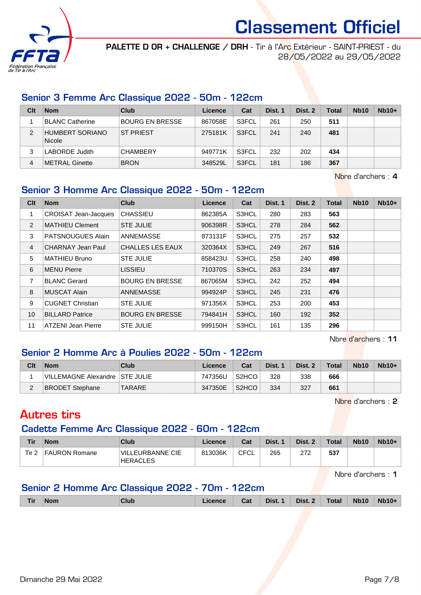

PALETTE D OR + CHALLENGE / DRH - Tir à l'Arc Extérieur - SAINT-PRIEST - du 28/05/2022 au 29/05/2022

#### Senior 3 Femme Arc Classique 2022 - 50m - 122cm

| Clt | <b>Nom</b>                | Club             | Licence | Cat   | Dist. 1 | Dist. 2 | <b>Total</b> | <b>Nb10</b> | $Nb10+$ |
|-----|---------------------------|------------------|---------|-------|---------|---------|--------------|-------------|---------|
|     | <b>BLANC Catherine</b>    | BOURG EN BRESSE  | 867058E | S3FCL | 261     | 250     | 511          |             |         |
| 2   | HUMBERT SORIANO<br>Nicole | <b>ST PRIEST</b> | 275181K | S3FCL | 241     | 240     | 481          |             |         |
| 3   | LABORDE Judith            | <b>CHAMBERY</b>  | 949771K | S3FCL | 232     | 202     | 434          |             |         |
| 4   | METRAL Ginette            | <b>BRON</b>      | 348529L | S3FCL | 181     | 186     | 367          |             |         |

Nbre d'archers : 4

## Senior 3 Homme Arc Classique 2022 - 50m - 122cm

| Clt            | <b>Nom</b>                  | <b>Club</b>             | Licence | Cat   | Dist. 1 | Dist. 2 | <b>Total</b> | <b>Nb10</b> | $Nb10+$ |
|----------------|-----------------------------|-------------------------|---------|-------|---------|---------|--------------|-------------|---------|
| 1              | <b>CROISAT Jean-Jacques</b> | <b>CHASSIEU</b>         | 862385A | S3HCL | 280     | 283     | 563          |             |         |
| 2              | <b>MATHIEU Clement</b>      | <b>STE JULIE</b>        | 906398R | S3HCL | 278     | 284     | 562          |             |         |
| 3              | <b>PATSNOUGUES Alain</b>    | <b>ANNEMASSE</b>        | 873131F | S3HCL | 275     | 257     | 532          |             |         |
| $\overline{4}$ | <b>CHARNAY Jean Paul</b>    | <b>CHALLES LES EAUX</b> | 320364X | S3HCL | 249     | 267     | 516          |             |         |
| 5              | <b>MATHIEU Bruno</b>        | <b>STE JULIE</b>        | 858423U | S3HCL | 258     | 240     | 498          |             |         |
| 6              | <b>MENU Pierre</b>          | <b>LISSIEU</b>          | 710370S | S3HCL | 263     | 234     | 497          |             |         |
| 7              | <b>BLANC Gerard</b>         | <b>BOURG EN BRESSE</b>  | 867065M | S3HCL | 242     | 252     | 494          |             |         |
| 8              | <b>MUSCAT Alain</b>         | <b>ANNEMASSE</b>        | 994924P | S3HCL | 245     | 231     | 476          |             |         |
| 9              | <b>CUGNET Christian</b>     | <b>STE JULIE</b>        | 971356X | S3HCL | 253     | 200     | 453          |             |         |
| 10             | <b>BILLARD Patrice</b>      | <b>BOURG EN BRESSE</b>  | 794841H | S3HCL | 160     | 192     | 352          |             |         |
| 11             | <b>ATZENI Jean Pierre</b>   | <b>STE JULIE</b>        | 999150H | S3HCL | 161     | 135     | 296          |             |         |

Nbre d'archers : 11

### Senior 2 Homme Arc à Poulies 2022 - 50m - 122cm

| Clt | <b>Nom</b>                       | Club          | Licence | Cat                            | Dist. 1 | Dist. 2 | <b>Total</b> | <b>Nb10</b> | $Nb10+$ |
|-----|----------------------------------|---------------|---------|--------------------------------|---------|---------|--------------|-------------|---------|
|     | VILLEMAGNE Alexandre   STE JULIE |               | 747356U | S <sub>2</sub> H <sub>CO</sub> | 328     | 338     | 666          |             |         |
| ∠   | <b>BRODET Stephane</b>           | <b>TARARE</b> | 347350E | S <sub>2</sub> HCO             | 334     | 327     | 661          |             |         |

Nbre d'archers : 2

# Autres tirs

#### Cadette Femme Arc Classique 2022 - 60m - 122cm

| Tir   | <b>Nom</b>    | Club                                | Licence | Cat  | Dist. 1 | Dist. 2 | <b>Total</b> | <b>Nb10</b> | $Nb10+$ |
|-------|---------------|-------------------------------------|---------|------|---------|---------|--------------|-------------|---------|
| Tir 2 | FAURON Romane | VILLEURBANNE CIE<br><b>HERACLES</b> | 813036K | CFCL | 265     | 272     | 537          |             |         |

Nbre d'archers : 1

# Senior 2 Homme Arc Classique 2022 - 70m - 122cm

| Tir | $\blacksquare$ Nom | <b>Club</b> | Licence Cat Dist. 1 Dist. 2 Total Nb10 Nb10+ |  |  |  |
|-----|--------------------|-------------|----------------------------------------------|--|--|--|
|     |                    |             |                                              |  |  |  |